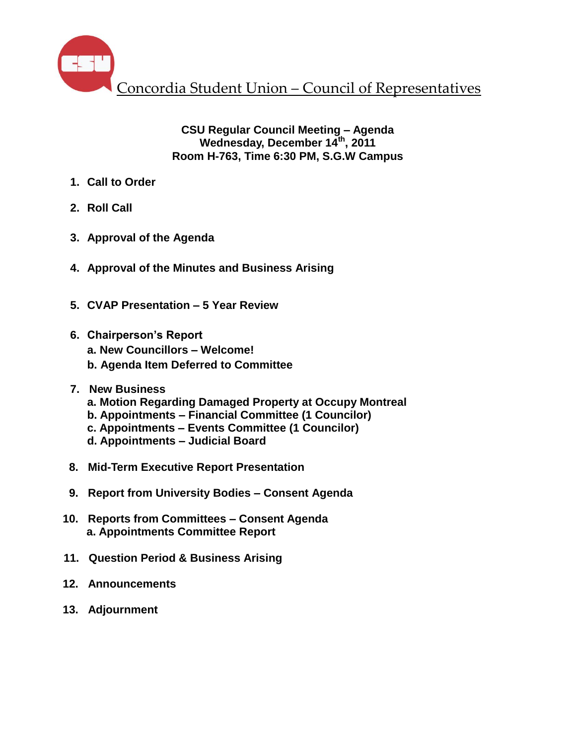

# **CSU Regular Council Meeting – Agenda Wednesday, December 14th , 2011 Room H-763, Time 6:30 PM, S.G.W Campus**

- **1. Call to Order**
- **2. Roll Call**
- **3. Approval of the Agenda**
- **4. Approval of the Minutes and Business Arising**
- **5. CVAP Presentation – 5 Year Review**
- **6. Chairperson's Report** 
	- **a. New Councillors – Welcome!**
	- **b. Agenda Item Deferred to Committee**
- **7. New Business**
	- **a. Motion Regarding Damaged Property at Occupy Montreal**
	- **b. Appointments – Financial Committee (1 Councilor)**
	- **c. Appointments – Events Committee (1 Councilor)**
	- **d. Appointments – Judicial Board**
- **8. Mid-Term Executive Report Presentation**
- **9. Report from University Bodies – Consent Agenda**
- **10. Reports from Committees – Consent Agenda a. Appointments Committee Report**
- **11. Question Period & Business Arising**
- **12. Announcements**
- **13. Adjournment**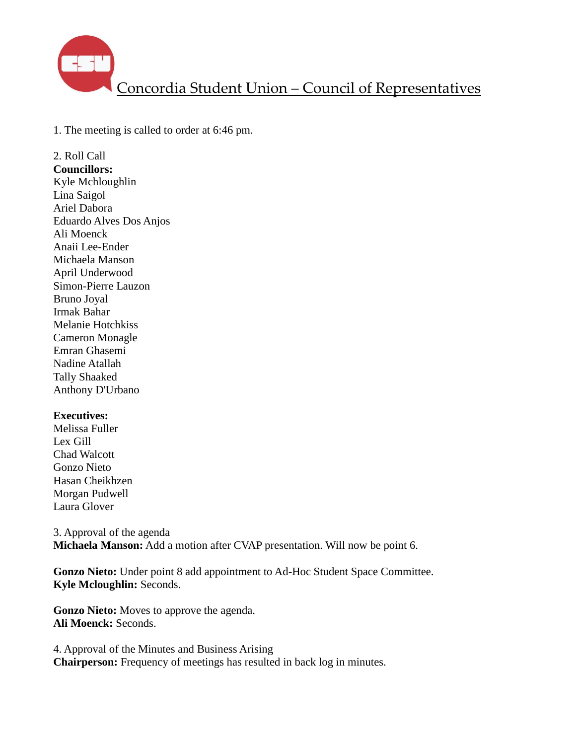

1. The meeting is called to order at 6:46 pm.

2. Roll Call **Councillors:** Kyle Mchloughlin Lina Saigol Ariel Dabora Eduardo Alves Dos Anjos Ali Moenck Anaii Lee-Ender Michaela Manson April Underwood Simon-Pierre Lauzon Bruno Joyal Irmak Bahar Melanie Hotchkiss Cameron Monagle Emran Ghasemi Nadine Atallah Tally Shaaked Anthony D'Urbano

#### **Executives:**

Melissa Fuller Lex Gill Chad Walcott Gonzo Nieto Hasan Cheikhzen Morgan Pudwell Laura Glover

3. Approval of the agenda **Michaela Manson:** Add a motion after CVAP presentation. Will now be point 6.

**Gonzo Nieto:** Under point 8 add appointment to Ad-Hoc Student Space Committee. **Kyle Mcloughlin:** Seconds.

**Gonzo Nieto:** Moves to approve the agenda. **Ali Moenck:** Seconds.

4. Approval of the Minutes and Business Arising **Chairperson:** Frequency of meetings has resulted in back log in minutes.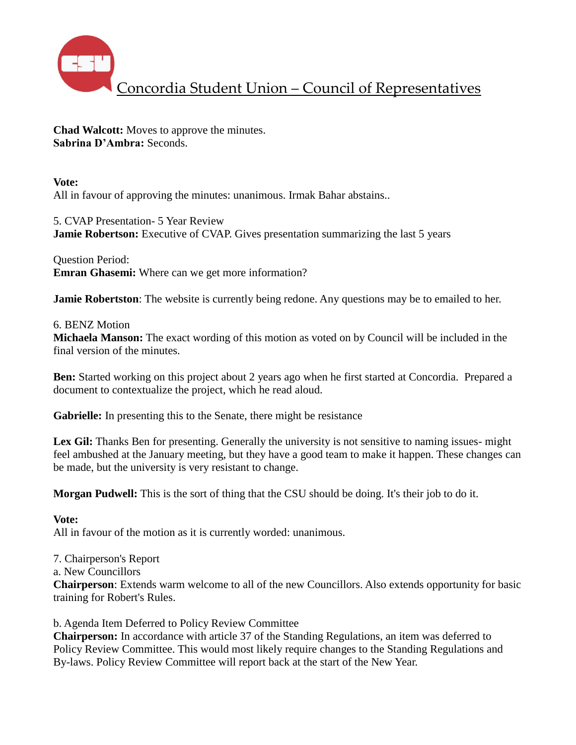

**Chad Walcott:** Moves to approve the minutes. **Sabrina D'Ambra:** Seconds.

**Vote:** All in favour of approving the minutes: unanimous. Irmak Bahar abstains..

5. CVAP Presentation- 5 Year Review **Jamie Robertson:** Executive of CVAP. Gives presentation summarizing the last 5 years

Question Period: **Emran Ghasemi:** Where can we get more information?

**Jamie Robertston**: The website is currently being redone. Any questions may be to emailed to her.

## 6. BENZ Motion

**Michaela Manson:** The exact wording of this motion as voted on by Council will be included in the final version of the minutes.

**Ben:** Started working on this project about 2 years ago when he first started at Concordia. Prepared a document to contextualize the project, which he read aloud.

**Gabrielle:** In presenting this to the Senate, there might be resistance

Lex Gil: Thanks Ben for presenting. Generally the university is not sensitive to naming issues- might feel ambushed at the January meeting, but they have a good team to make it happen. These changes can be made, but the university is very resistant to change.

**Morgan Pudwell:** This is the sort of thing that the CSU should be doing. It's their job to do it.

## **Vote:**

All in favour of the motion as it is currently worded: unanimous.

7. Chairperson's Report

a. New Councillors

**Chairperson**: Extends warm welcome to all of the new Councillors. Also extends opportunity for basic training for Robert's Rules.

b. Agenda Item Deferred to Policy Review Committee

**Chairperson:** In accordance with article 37 of the Standing Regulations, an item was deferred to Policy Review Committee. This would most likely require changes to the Standing Regulations and By-laws. Policy Review Committee will report back at the start of the New Year.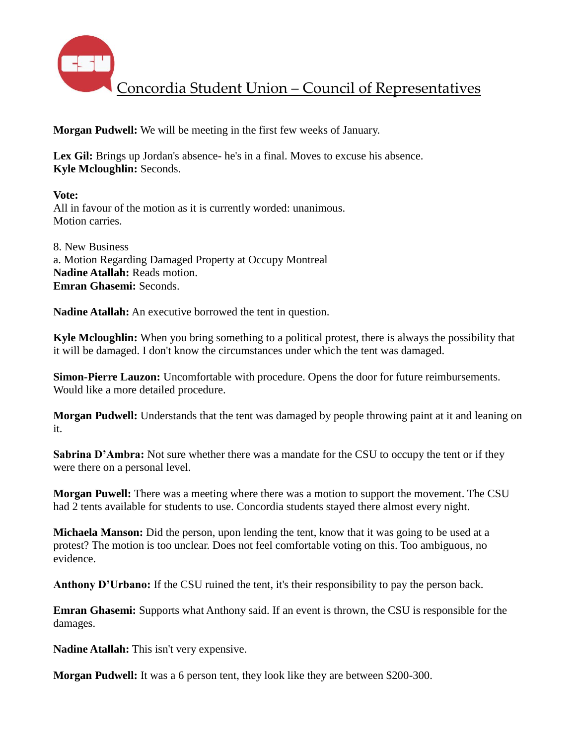

**Morgan Pudwell:** We will be meeting in the first few weeks of January.

Lex Gil: Brings up Jordan's absence- he's in a final. Moves to excuse his absence. **Kyle Mcloughlin:** Seconds.

**Vote:** All in favour of the motion as it is currently worded: unanimous. Motion carries.

8. New Business a. Motion Regarding Damaged Property at Occupy Montreal **Nadine Atallah:** Reads motion. **Emran Ghasemi:** Seconds.

**Nadine Atallah:** An executive borrowed the tent in question.

**Kyle Mcloughlin:** When you bring something to a political protest, there is always the possibility that it will be damaged. I don't know the circumstances under which the tent was damaged.

**Simon-Pierre Lauzon:** Uncomfortable with procedure. Opens the door for future reimbursements. Would like a more detailed procedure.

**Morgan Pudwell:** Understands that the tent was damaged by people throwing paint at it and leaning on it.

**Sabrina D'Ambra:** Not sure whether there was a mandate for the CSU to occupy the tent or if they were there on a personal level.

**Morgan Puwell:** There was a meeting where there was a motion to support the movement. The CSU had 2 tents available for students to use. Concordia students stayed there almost every night.

**Michaela Manson:** Did the person, upon lending the tent, know that it was going to be used at a protest? The motion is too unclear. Does not feel comfortable voting on this. Too ambiguous, no evidence.

**Anthony D'Urbano:** If the CSU ruined the tent, it's their responsibility to pay the person back.

**Emran Ghasemi:** Supports what Anthony said. If an event is thrown, the CSU is responsible for the damages.

**Nadine Atallah:** This isn't very expensive.

**Morgan Pudwell:** It was a 6 person tent, they look like they are between \$200-300.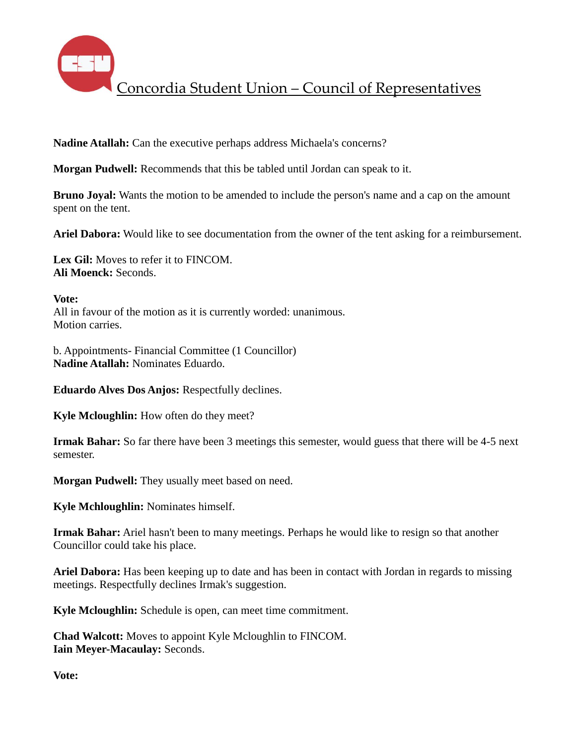

**Nadine Atallah:** Can the executive perhaps address Michaela's concerns?

**Morgan Pudwell:** Recommends that this be tabled until Jordan can speak to it.

**Bruno Joyal:** Wants the motion to be amended to include the person's name and a cap on the amount spent on the tent.

**Ariel Dabora:** Would like to see documentation from the owner of the tent asking for a reimbursement.

**Lex Gil:** Moves to refer it to FINCOM. **Ali Moenck:** Seconds.

**Vote:**

All in favour of the motion as it is currently worded: unanimous. Motion carries.

b. Appointments- Financial Committee (1 Councillor) **Nadine Atallah:** Nominates Eduardo.

**Eduardo Alves Dos Anjos:** Respectfully declines.

**Kyle Mcloughlin:** How often do they meet?

**Irmak Bahar:** So far there have been 3 meetings this semester, would guess that there will be 4-5 next semester.

**Morgan Pudwell:** They usually meet based on need.

**Kyle Mchloughlin:** Nominates himself.

**Irmak Bahar:** Ariel hasn't been to many meetings. Perhaps he would like to resign so that another Councillor could take his place.

**Ariel Dabora:** Has been keeping up to date and has been in contact with Jordan in regards to missing meetings. Respectfully declines Irmak's suggestion.

**Kyle Mcloughlin:** Schedule is open, can meet time commitment.

**Chad Walcott:** Moves to appoint Kyle Mcloughlin to FINCOM. **Iain Meyer-Macaulay:** Seconds.

**Vote:**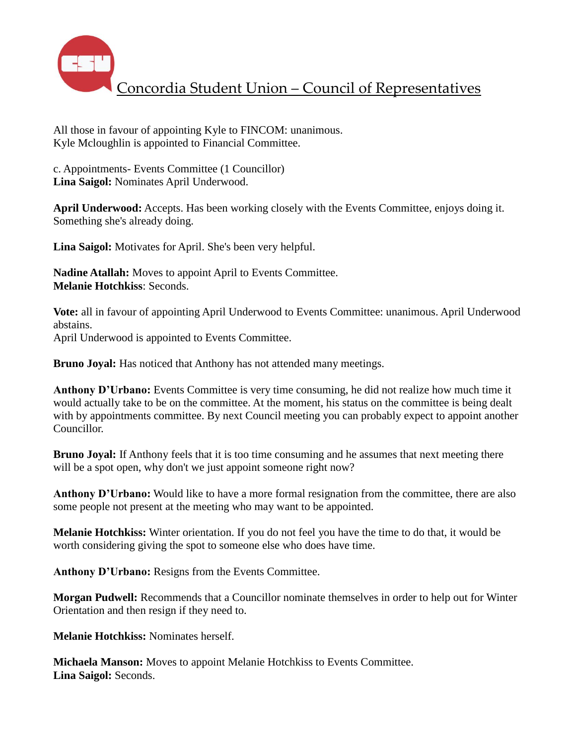

All those in favour of appointing Kyle to FINCOM: unanimous. Kyle Mcloughlin is appointed to Financial Committee.

c. Appointments- Events Committee (1 Councillor) **Lina Saigol:** Nominates April Underwood.

**April Underwood:** Accepts. Has been working closely with the Events Committee, enjoys doing it. Something she's already doing.

**Lina Saigol:** Motivates for April. She's been very helpful.

**Nadine Atallah:** Moves to appoint April to Events Committee. **Melanie Hotchkiss**: Seconds.

**Vote:** all in favour of appointing April Underwood to Events Committee: unanimous. April Underwood abstains. April Underwood is appointed to Events Committee.

**Bruno Joyal:** Has noticed that Anthony has not attended many meetings.

**Anthony D'Urbano:** Events Committee is very time consuming, he did not realize how much time it would actually take to be on the committee. At the moment, his status on the committee is being dealt with by appointments committee. By next Council meeting you can probably expect to appoint another Councillor.

**Bruno Joyal:** If Anthony feels that it is too time consuming and he assumes that next meeting there will be a spot open, why don't we just appoint someone right now?

**Anthony D'Urbano:** Would like to have a more formal resignation from the committee, there are also some people not present at the meeting who may want to be appointed.

**Melanie Hotchkiss:** Winter orientation. If you do not feel you have the time to do that, it would be worth considering giving the spot to someone else who does have time.

**Anthony D'Urbano:** Resigns from the Events Committee.

**Morgan Pudwell:** Recommends that a Councillor nominate themselves in order to help out for Winter Orientation and then resign if they need to.

**Melanie Hotchkiss:** Nominates herself.

**Michaela Manson:** Moves to appoint Melanie Hotchkiss to Events Committee. **Lina Saigol:** Seconds.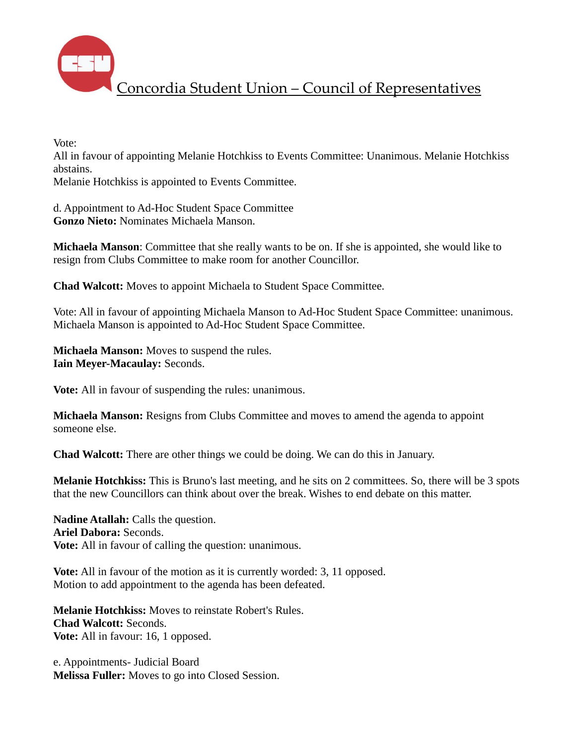

Vote:

All in favour of appointing Melanie Hotchkiss to Events Committee: Unanimous. Melanie Hotchkiss abstains.

Melanie Hotchkiss is appointed to Events Committee.

d. Appointment to Ad-Hoc Student Space Committee **Gonzo Nieto:** Nominates Michaela Manson.

**Michaela Manson**: Committee that she really wants to be on. If she is appointed, she would like to resign from Clubs Committee to make room for another Councillor.

**Chad Walcott:** Moves to appoint Michaela to Student Space Committee.

Vote: All in favour of appointing Michaela Manson to Ad-Hoc Student Space Committee: unanimous. Michaela Manson is appointed to Ad-Hoc Student Space Committee.

**Michaela Manson:** Moves to suspend the rules. **Iain Meyer-Macaulay:** Seconds.

**Vote:** All in favour of suspending the rules: unanimous.

**Michaela Manson:** Resigns from Clubs Committee and moves to amend the agenda to appoint someone else.

**Chad Walcott:** There are other things we could be doing. We can do this in January.

**Melanie Hotchkiss:** This is Bruno's last meeting, and he sits on 2 committees. So, there will be 3 spots that the new Councillors can think about over the break. Wishes to end debate on this matter.

**Nadine Atallah:** Calls the question. **Ariel Dabora:** Seconds. **Vote:** All in favour of calling the question: unanimous.

**Vote:** All in favour of the motion as it is currently worded: 3, 11 opposed. Motion to add appointment to the agenda has been defeated.

**Melanie Hotchkiss:** Moves to reinstate Robert's Rules. **Chad Walcott:** Seconds. **Vote:** All in favour: 16, 1 opposed.

e. Appointments- Judicial Board **Melissa Fuller:** Moves to go into Closed Session.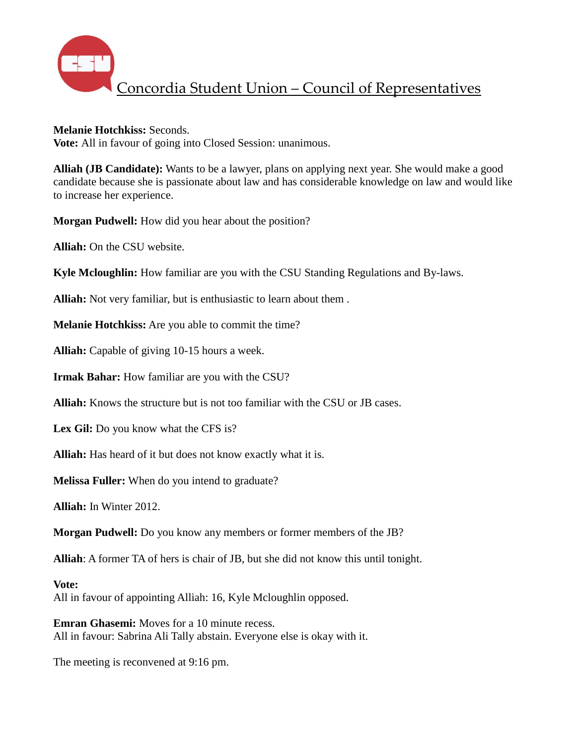

#### **Melanie Hotchkiss:** Seconds.

**Vote:** All in favour of going into Closed Session: unanimous.

**Alliah (JB Candidate):** Wants to be a lawyer, plans on applying next year. She would make a good candidate because she is passionate about law and has considerable knowledge on law and would like to increase her experience.

**Morgan Pudwell:** How did you hear about the position?

**Alliah:** On the CSU website.

**Kyle Mcloughlin:** How familiar are you with the CSU Standing Regulations and By-laws.

**Alliah:** Not very familiar, but is enthusiastic to learn about them .

**Melanie Hotchkiss:** Are you able to commit the time?

**Alliah:** Capable of giving 10-15 hours a week.

**Irmak Bahar:** How familiar are you with the CSU?

**Alliah:** Knows the structure but is not too familiar with the CSU or JB cases.

**Lex Gil:** Do you know what the CFS is?

**Alliah:** Has heard of it but does not know exactly what it is.

**Melissa Fuller:** When do you intend to graduate?

**Alliah:** In Winter 2012.

**Morgan Pudwell:** Do you know any members or former members of the JB?

**Alliah**: A former TA of hers is chair of JB, but she did not know this until tonight.

#### **Vote:**

All in favour of appointing Alliah: 16, Kyle Mcloughlin opposed.

**Emran Ghasemi:** Moves for a 10 minute recess. All in favour: Sabrina Ali Tally abstain. Everyone else is okay with it.

The meeting is reconvened at 9:16 pm.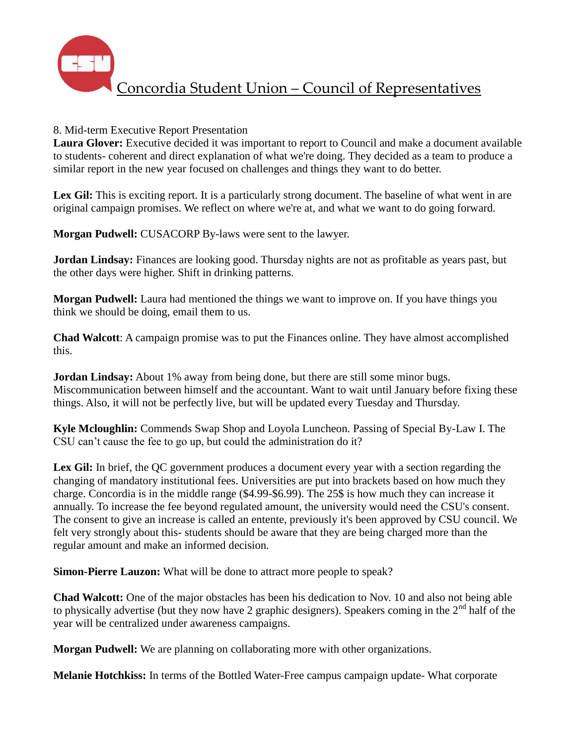

## 8. Mid-term Executive Report Presentation

**Laura Glover:** Executive decided it was important to report to Council and make a document available to students- coherent and direct explanation of what we're doing. They decided as a team to produce a similar report in the new year focused on challenges and things they want to do better.

Lex Gil: This is exciting report. It is a particularly strong document. The baseline of what went in are original campaign promises. We reflect on where we're at, and what we want to do going forward.

**Morgan Pudwell:** CUSACORP By-laws were sent to the lawyer.

**Jordan Lindsay:** Finances are looking good. Thursday nights are not as profitable as years past, but the other days were higher. Shift in drinking patterns.

**Morgan Pudwell:** Laura had mentioned the things we want to improve on. If you have things you think we should be doing, email them to us.

**Chad Walcott**: A campaign promise was to put the Finances online. They have almost accomplished this.

**Jordan Lindsay:** About 1% away from being done, but there are still some minor bugs. Miscommunication between himself and the accountant. Want to wait until January before fixing these things. Also, it will not be perfectly live, but will be updated every Tuesday and Thursday.

**Kyle Mcloughlin:** Commends Swap Shop and Loyola Luncheon. Passing of Special By-Law I. The CSU can't cause the fee to go up, but could the administration do it?

Lex Gil: In brief, the QC government produces a document every year with a section regarding the changing of mandatory institutional fees. Universities are put into brackets based on how much they charge. Concordia is in the middle range (\$4.99-\$6.99). The 25\$ is how much they can increase it annually. To increase the fee beyond regulated amount, the university would need the CSU's consent. The consent to give an increase is called an entente, previously it's been approved by CSU council. We felt very strongly about this- students should be aware that they are being charged more than the regular amount and make an informed decision.

**Simon-Pierre Lauzon:** What will be done to attract more people to speak?

**Chad Walcott:** One of the major obstacles has been his dedication to Nov. 10 and also not being able to physically advertise (but they now have 2 graphic designers). Speakers coming in the  $2<sup>nd</sup>$  half of the year will be centralized under awareness campaigns.

**Morgan Pudwell:** We are planning on collaborating more with other organizations.

**Melanie Hotchkiss:** In terms of the Bottled Water-Free campus campaign update- What corporate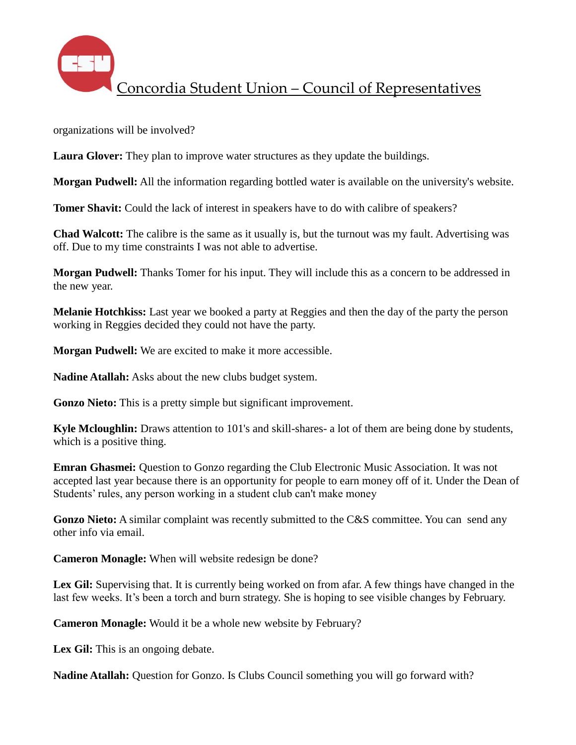

organizations will be involved?

**Laura Glover:** They plan to improve water structures as they update the buildings.

**Morgan Pudwell:** All the information regarding bottled water is available on the university's website.

**Tomer Shavit:** Could the lack of interest in speakers have to do with calibre of speakers?

**Chad Walcott:** The calibre is the same as it usually is, but the turnout was my fault. Advertising was off. Due to my time constraints I was not able to advertise.

**Morgan Pudwell:** Thanks Tomer for his input. They will include this as a concern to be addressed in the new year.

**Melanie Hotchkiss:** Last year we booked a party at Reggies and then the day of the party the person working in Reggies decided they could not have the party.

**Morgan Pudwell:** We are excited to make it more accessible.

**Nadine Atallah:** Asks about the new clubs budget system.

**Gonzo Nieto:** This is a pretty simple but significant improvement.

**Kyle Mcloughlin:** Draws attention to 101's and skill-shares- a lot of them are being done by students, which is a positive thing.

**Emran Ghasmei:** Question to Gonzo regarding the Club Electronic Music Association. It was not accepted last year because there is an opportunity for people to earn money off of it. Under the Dean of Students' rules, any person working in a student club can't make money

Gonzo Nieto: A similar complaint was recently submitted to the C&S committee. You can send any other info via email.

**Cameron Monagle:** When will website redesign be done?

Lex Gil: Supervising that. It is currently being worked on from afar. A few things have changed in the last few weeks. It's been a torch and burn strategy. She is hoping to see visible changes by February.

**Cameron Monagle:** Would it be a whole new website by February?

Lex Gil: This is an ongoing debate.

**Nadine Atallah:** Question for Gonzo. Is Clubs Council something you will go forward with?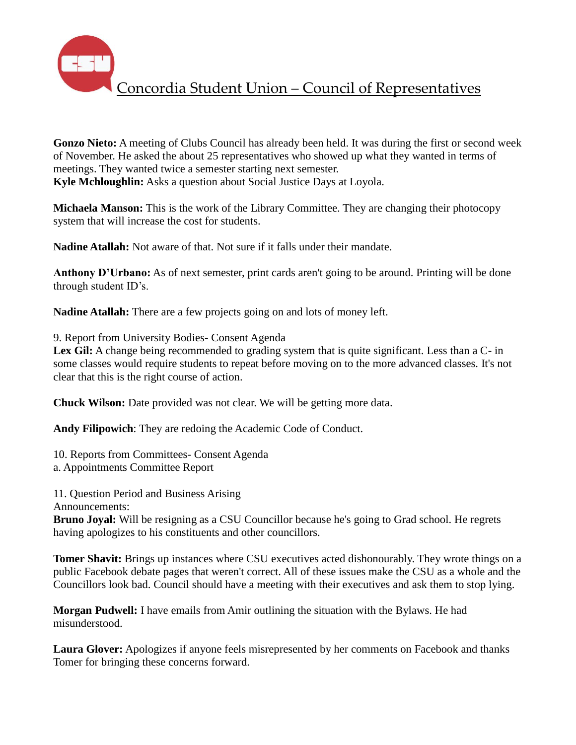

**Gonzo Nieto:** A meeting of Clubs Council has already been held. It was during the first or second week of November. He asked the about 25 representatives who showed up what they wanted in terms of meetings. They wanted twice a semester starting next semester. **Kyle Mchloughlin:** Asks a question about Social Justice Days at Loyola.

**Michaela Manson:** This is the work of the Library Committee. They are changing their photocopy system that will increase the cost for students.

**Nadine Atallah:** Not aware of that. Not sure if it falls under their mandate.

**Anthony D'Urbano:** As of next semester, print cards aren't going to be around. Printing will be done through student ID's.

**Nadine Atallah:** There are a few projects going on and lots of money left.

9. Report from University Bodies- Consent Agenda

Lex Gil: A change being recommended to grading system that is quite significant. Less than a C- in some classes would require students to repeat before moving on to the more advanced classes. It's not clear that this is the right course of action.

**Chuck Wilson:** Date provided was not clear. We will be getting more data.

**Andy Filipowich**: They are redoing the Academic Code of Conduct.

10. Reports from Committees- Consent Agenda a. Appointments Committee Report

11. Question Period and Business Arising

Announcements:

**Bruno Joyal:** Will be resigning as a CSU Councillor because he's going to Grad school. He regrets having apologizes to his constituents and other councillors.

**Tomer Shavit:** Brings up instances where CSU executives acted dishonourably. They wrote things on a public Facebook debate pages that weren't correct. All of these issues make the CSU as a whole and the Councillors look bad. Council should have a meeting with their executives and ask them to stop lying.

**Morgan Pudwell:** I have emails from Amir outlining the situation with the Bylaws. He had misunderstood.

**Laura Glover:** Apologizes if anyone feels misrepresented by her comments on Facebook and thanks Tomer for bringing these concerns forward.